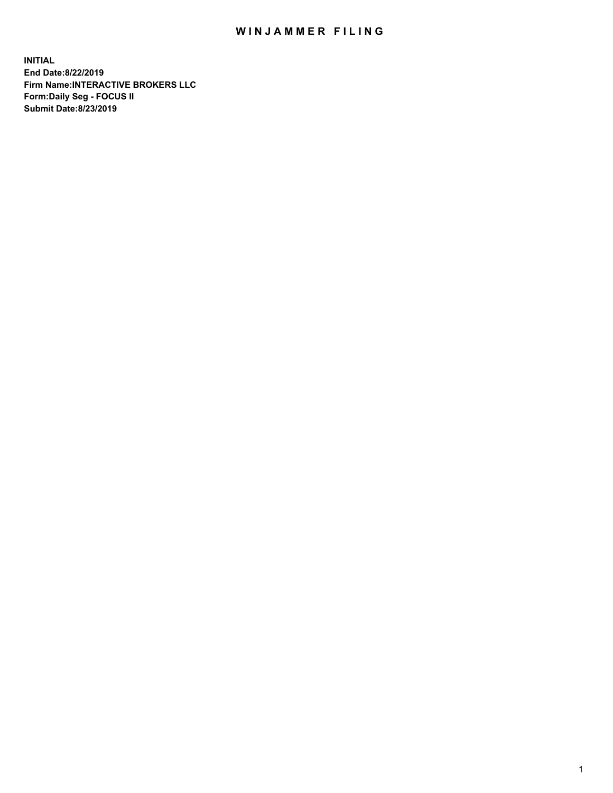## WIN JAMMER FILING

**INITIAL End Date:8/22/2019 Firm Name:INTERACTIVE BROKERS LLC Form:Daily Seg - FOCUS II Submit Date:8/23/2019**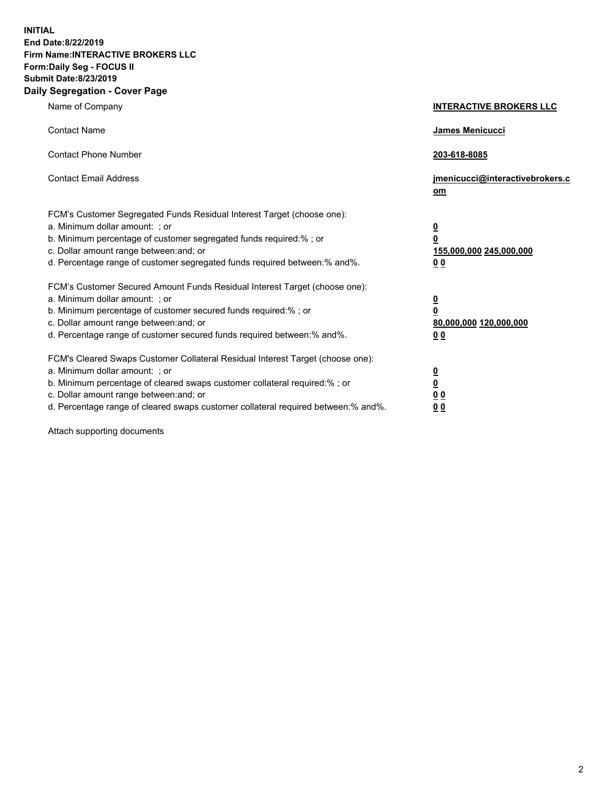**INITIAL End Date:8/22/2019 Firm Name:INTERACTIVE BROKERS LLC Form:Daily Seg - FOCUS II Submit Date:8/23/2019 Daily Segregation - Cover Page**

| Name of Company                                                                                                                                                                                                                                                                                                                | <b>INTERACTIVE BROKERS LLC</b>                                                   |
|--------------------------------------------------------------------------------------------------------------------------------------------------------------------------------------------------------------------------------------------------------------------------------------------------------------------------------|----------------------------------------------------------------------------------|
| <b>Contact Name</b>                                                                                                                                                                                                                                                                                                            | James Menicucci                                                                  |
| <b>Contact Phone Number</b>                                                                                                                                                                                                                                                                                                    | 203-618-8085                                                                     |
| <b>Contact Email Address</b>                                                                                                                                                                                                                                                                                                   | jmenicucci@interactivebrokers.c<br>om                                            |
| FCM's Customer Segregated Funds Residual Interest Target (choose one):<br>a. Minimum dollar amount: ; or<br>b. Minimum percentage of customer segregated funds required:% ; or<br>c. Dollar amount range between: and; or<br>d. Percentage range of customer segregated funds required between:% and%.                         | <u>0</u><br>$\overline{\mathbf{0}}$<br>155,000,000 245,000,000<br>0 <sub>0</sub> |
| FCM's Customer Secured Amount Funds Residual Interest Target (choose one):<br>a. Minimum dollar amount: ; or<br>b. Minimum percentage of customer secured funds required:% ; or<br>c. Dollar amount range between: and; or<br>d. Percentage range of customer secured funds required between:% and%.                           | <u>0</u><br>$\overline{\mathbf{0}}$<br>80,000,000 120,000,000<br>0 <sub>0</sub>  |
| FCM's Cleared Swaps Customer Collateral Residual Interest Target (choose one):<br>a. Minimum dollar amount: ; or<br>b. Minimum percentage of cleared swaps customer collateral required:% ; or<br>c. Dollar amount range between: and; or<br>d. Percentage range of cleared swaps customer collateral required between:% and%. | <u>0</u><br>$\underline{\mathbf{0}}$<br>0 <sub>0</sub><br>0 <sub>0</sub>         |

Attach supporting documents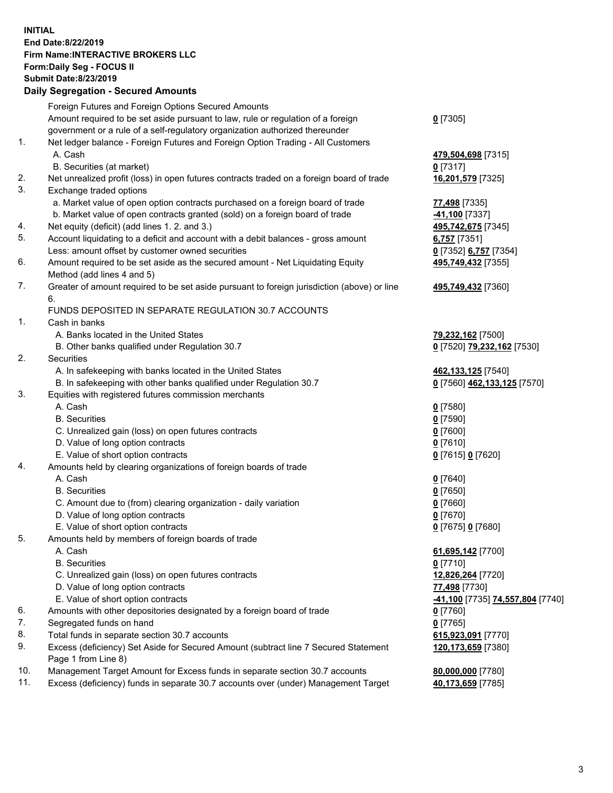## **INITIAL End Date:8/22/2019 Firm Name:INTERACTIVE BROKERS LLC Form:Daily Seg - FOCUS II Submit Date:8/23/2019 Daily Segregation - Secured Amounts**

|                | Daily Ocglegation - Occuled Aniounts                                                        |                                                            |
|----------------|---------------------------------------------------------------------------------------------|------------------------------------------------------------|
|                | Foreign Futures and Foreign Options Secured Amounts                                         |                                                            |
|                | Amount required to be set aside pursuant to law, rule or regulation of a foreign            | $0$ [7305]                                                 |
|                | government or a rule of a self-regulatory organization authorized thereunder                |                                                            |
| $\mathbf{1}$ . | Net ledger balance - Foreign Futures and Foreign Option Trading - All Customers             |                                                            |
|                | A. Cash                                                                                     | 479,504,698 [7315]                                         |
|                | B. Securities (at market)                                                                   | $0$ [7317]                                                 |
| 2.             | Net unrealized profit (loss) in open futures contracts traded on a foreign board of trade   | 16,201,579 [7325]                                          |
| 3.             | Exchange traded options                                                                     |                                                            |
|                | a. Market value of open option contracts purchased on a foreign board of trade              | 77,498 [7335]                                              |
|                | b. Market value of open contracts granted (sold) on a foreign board of trade                | -41,100 <sup>[7337]</sup>                                  |
| 4.             | Net equity (deficit) (add lines 1.2. and 3.)                                                | 495,742,675 [7345]                                         |
| 5.             | Account liquidating to a deficit and account with a debit balances - gross amount           | 6,757 [7351]                                               |
|                | Less: amount offset by customer owned securities                                            | 0 [7352] 6,757 [7354]                                      |
| 6.             | Amount required to be set aside as the secured amount - Net Liquidating Equity              | 495,749,432 [7355]                                         |
|                | Method (add lines 4 and 5)                                                                  |                                                            |
| 7.             | Greater of amount required to be set aside pursuant to foreign jurisdiction (above) or line | 495,749,432 [7360]                                         |
|                | 6.                                                                                          |                                                            |
|                | FUNDS DEPOSITED IN SEPARATE REGULATION 30.7 ACCOUNTS                                        |                                                            |
| $\mathbf{1}$ . | Cash in banks                                                                               |                                                            |
|                | A. Banks located in the United States                                                       | 79,232,162 [7500]                                          |
|                | B. Other banks qualified under Regulation 30.7                                              | 0 [7520] 79,232,162 [7530]                                 |
| 2.             | Securities                                                                                  |                                                            |
|                | A. In safekeeping with banks located in the United States                                   | 462,133,125 [7540]                                         |
|                | B. In safekeeping with other banks qualified under Regulation 30.7                          | 0 [7560] 462,133,125 [7570]                                |
| 3.             | Equities with registered futures commission merchants                                       |                                                            |
|                | A. Cash                                                                                     | $0$ [7580]                                                 |
|                | <b>B.</b> Securities                                                                        | $0$ [7590]                                                 |
|                | C. Unrealized gain (loss) on open futures contracts                                         | $0$ [7600]                                                 |
|                | D. Value of long option contracts                                                           | $0$ [7610]                                                 |
|                | E. Value of short option contracts                                                          | 0 [7615] 0 [7620]                                          |
| 4.             | Amounts held by clearing organizations of foreign boards of trade                           |                                                            |
|                | A. Cash                                                                                     | $0$ [7640]                                                 |
|                | <b>B.</b> Securities                                                                        | $0$ [7650]                                                 |
|                | C. Amount due to (from) clearing organization - daily variation                             | $0$ [7660]                                                 |
|                | D. Value of long option contracts<br>E. Value of short option contracts                     | $0$ [7670]                                                 |
| 5.             |                                                                                             | 0 [7675] 0 [7680]                                          |
|                | Amounts held by members of foreign boards of trade<br>A. Cash                               | 61,695,142 [7700]                                          |
|                | <b>B.</b> Securities                                                                        | $0$ [7710]                                                 |
|                | C. Unrealized gain (loss) on open futures contracts                                         | 12,826,264 [7720]                                          |
|                | D. Value of long option contracts                                                           | 77,498 [7730]                                              |
|                | E. Value of short option contracts                                                          | <mark>-41,100</mark> [7735] <mark>74,557,804</mark> [7740] |
| 6.             | Amounts with other depositories designated by a foreign board of trade                      | 0 [7760]                                                   |
| 7.             | Segregated funds on hand                                                                    | $0$ [7765]                                                 |
| 8.             | Total funds in separate section 30.7 accounts                                               | 615,923,091 [7770]                                         |
| 9.             | Excess (deficiency) Set Aside for Secured Amount (subtract line 7 Secured Statement         | 120,173,659 [7380]                                         |
|                | Page 1 from Line 8)                                                                         |                                                            |
| 10.            | Management Target Amount for Excess funds in separate section 30.7 accounts                 | 80,000,000 [7780]                                          |
| 11.            | Excess (deficiency) funds in separate 30.7 accounts over (under) Management Target          | 40,173,659 [7785]                                          |
|                |                                                                                             |                                                            |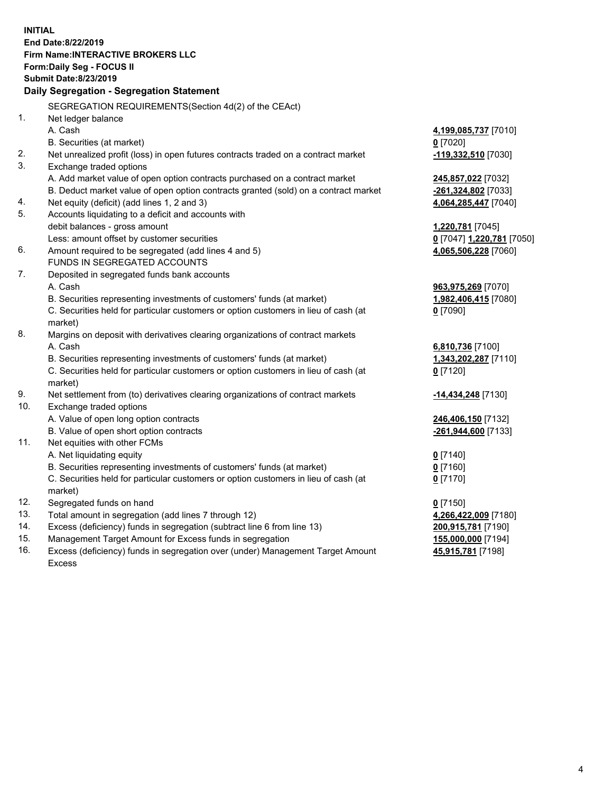**INITIAL End Date:8/22/2019 Firm Name:INTERACTIVE BROKERS LLC Form:Daily Seg - FOCUS II Submit Date:8/23/2019 Daily Segregation - Segregation Statement** SEGREGATION REQUIREMENTS(Section 4d(2) of the CEAct) 1. Net ledger balance A. Cash **4,199,085,737** [7010] B. Securities (at market) **0** [7020] 2. Net unrealized profit (loss) in open futures contracts traded on a contract market **-119,332,510** [7030] 3. Exchange traded options A. Add market value of open option contracts purchased on a contract market **245,857,022** [7032] B. Deduct market value of open option contracts granted (sold) on a contract market **-261,324,802** [7033] 4. Net equity (deficit) (add lines 1, 2 and 3) **4,064,285,447** [7040] 5. Accounts liquidating to a deficit and accounts with debit balances - gross amount **1,220,781** [7045] Less: amount offset by customer securities **0** [7047] **1,220,781** [7050] 6. Amount required to be segregated (add lines 4 and 5) **4,065,506,228** [7060] FUNDS IN SEGREGATED ACCOUNTS 7. Deposited in segregated funds bank accounts A. Cash **963,975,269** [7070] B. Securities representing investments of customers' funds (at market) **1,982,406,415** [7080] C. Securities held for particular customers or option customers in lieu of cash (at market) **0** [7090] 8. Margins on deposit with derivatives clearing organizations of contract markets A. Cash **6,810,736** [7100] B. Securities representing investments of customers' funds (at market) **1,343,202,287** [7110] C. Securities held for particular customers or option customers in lieu of cash (at market) **0** [7120] 9. Net settlement from (to) derivatives clearing organizations of contract markets **-14,434,248** [7130] 10. Exchange traded options A. Value of open long option contracts **246,406,150** [7132] B. Value of open short option contracts **-261,944,600** [7133] 11. Net equities with other FCMs A. Net liquidating equity **0** [7140] B. Securities representing investments of customers' funds (at market) **0** [7160] C. Securities held for particular customers or option customers in lieu of cash (at market) **0** [7170] 12. Segregated funds on hand **0** [7150] 13. Total amount in segregation (add lines 7 through 12) **4,266,422,009** [7180] 14. Excess (deficiency) funds in segregation (subtract line 6 from line 13) **200,915,781** [7190] 15. Management Target Amount for Excess funds in segregation **155,000,000** [7194]

16. Excess (deficiency) funds in segregation over (under) Management Target Amount Excess

**45,915,781** [7198]